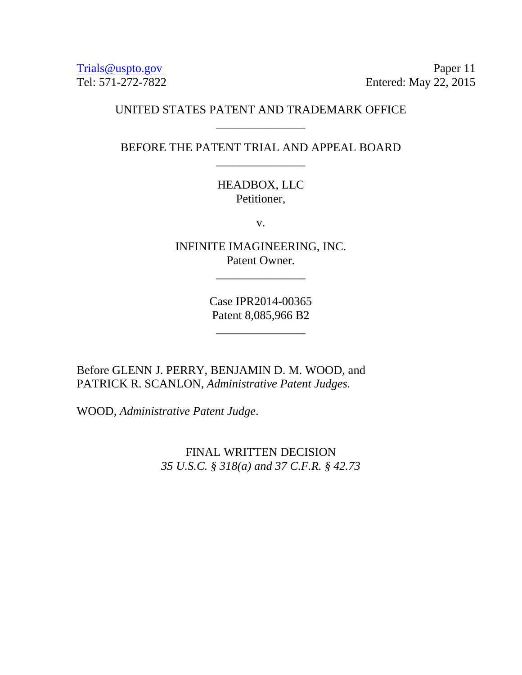Trials @uspto.gov Paper 11 Tel: 571-272-7822 Entered: May 22, 2015

### UNITED STATES PATENT AND TRADEMARK OFFICE \_\_\_\_\_\_\_\_\_\_\_\_\_\_\_

BEFORE THE PATENT TRIAL AND APPEAL BOARD \_\_\_\_\_\_\_\_\_\_\_\_\_\_\_

## HEADBOX, LLC Petitioner,

v.

INFINITE IMAGINEERING, INC. Patent Owner.

\_\_\_\_\_\_\_\_\_\_\_\_\_\_\_

Case IPR2014-00365 Patent 8,085,966 B2

\_\_\_\_\_\_\_\_\_\_\_\_\_\_\_

Before GLENN J. PERRY, BENJAMIN D. M. WOOD, and PATRICK R. SCANLON, *Administrative Patent Judges.* 

WOOD, *Administrative Patent Judge*.

FINAL WRITTEN DECISION *35 U.S.C. § 318(a) and 37 C.F.R. § 42.73*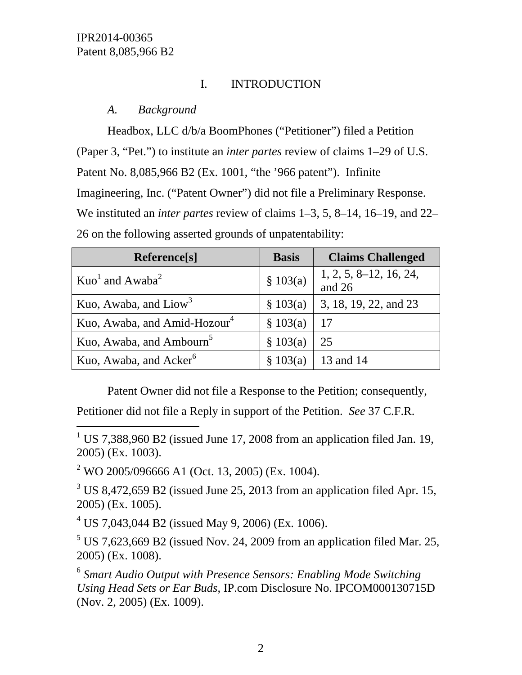$\overline{a}$ 

# I. INTRODUCTION

## *A. Background*

Headbox, LLC d/b/a BoomPhones ("Petitioner") filed a Petition (Paper 3, "Pet.") to institute an *inter partes* review of claims 1–29 of U.S. Patent No. 8,085,966 B2 (Ex. 1001, "the '966 patent"). Infinite Imagineering, Inc. ("Patent Owner") did not file a Preliminary Response. We instituted an *inter partes* review of claims 1–3, 5, 8–14, 16–19, and 22– 26 on the following asserted grounds of unpatentability:

| Reference[s]                             | <b>Basis</b> | <b>Claims Challenged</b>             |
|------------------------------------------|--------------|--------------------------------------|
| $Kuo1$ and Awaba <sup>2</sup>            | \$103(a)     | $1, 2, 5, 8\n-12, 16, 24,$<br>and 26 |
| Kuo, Awaba, and $Liow3$                  | \$103(a)     | 3, 18, 19, 22, and 23                |
| Kuo, Awaba, and Amid-Hozour <sup>4</sup> | \$103(a)     | -17                                  |
| Kuo, Awaba, and Ambourn <sup>5</sup>     | \$103(a)     | 25                                   |
| Kuo, Awaba, and Acker <sup>6</sup>       | \$103(a)     | 13 and 14                            |

Patent Owner did not file a Response to the Petition; consequently,

Petitioner did not file a Reply in support of the Petition. *See* 37 C.F.R.

<sup>2</sup> WO 2005/096666 A1 (Oct. 13, 2005) (Ex. 1004).

 $3 \text{ US } 8,472,659 \text{ B2}$  (issued June 25, 2013 from an application filed Apr. 15, 2005) (Ex. 1005).

 $4^4$  US 7,043,044 B2 (issued May 9, 2006) (Ex. 1006).

 $5$  US 7,623,669 B2 (issued Nov. 24, 2009 from an application filed Mar. 25, 2005) (Ex. 1008).

<sup>6</sup> *Smart Audio Output with Presence Sensors: Enabling Mode Switching Using Head Sets or Ear Buds*, IP.com Disclosure No. IPCOM000130715D (Nov. 2, 2005) (Ex. 1009).

<sup>&</sup>lt;sup>1</sup> US 7,388,960 B2 (issued June 17, 2008 from an application filed Jan. 19, 2005) (Ex. 1003).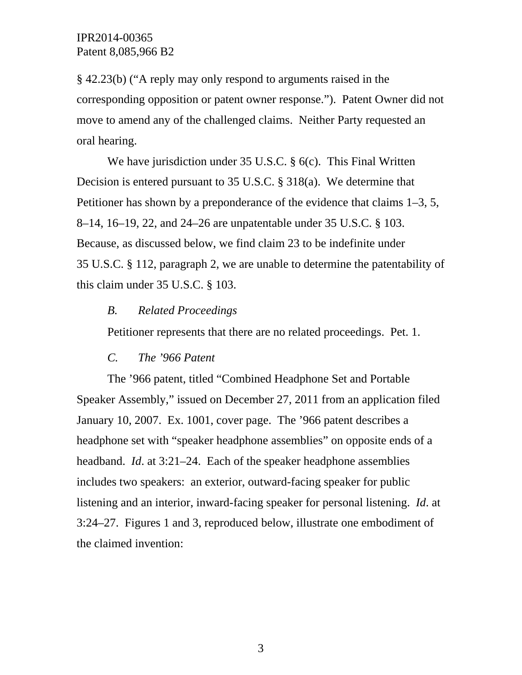§ 42.23(b) ("A reply may only respond to arguments raised in the corresponding opposition or patent owner response."). Patent Owner did not move to amend any of the challenged claims. Neither Party requested an oral hearing.

We have jurisdiction under 35 U.S.C. § 6(c). This Final Written Decision is entered pursuant to 35 U.S.C. § 318(a). We determine that Petitioner has shown by a preponderance of the evidence that claims 1–3, 5, 8–14, 16–19, 22, and 24–26 are unpatentable under 35 U.S.C. § 103. Because, as discussed below, we find claim 23 to be indefinite under 35 U.S.C. § 112, paragraph 2, we are unable to determine the patentability of this claim under 35 U.S.C. § 103.

### *B. Related Proceedings*

Petitioner represents that there are no related proceedings. Pet. 1.

### *C. The '966 Patent*

The '966 patent, titled "Combined Headphone Set and Portable Speaker Assembly," issued on December 27, 2011 from an application filed January 10, 2007. Ex. 1001, cover page. The '966 patent describes a headphone set with "speaker headphone assemblies" on opposite ends of a headband. *Id*. at 3:21–24. Each of the speaker headphone assemblies includes two speakers: an exterior, outward-facing speaker for public listening and an interior, inward-facing speaker for personal listening. *Id*. at 3:24–27. Figures 1 and 3, reproduced below, illustrate one embodiment of the claimed invention: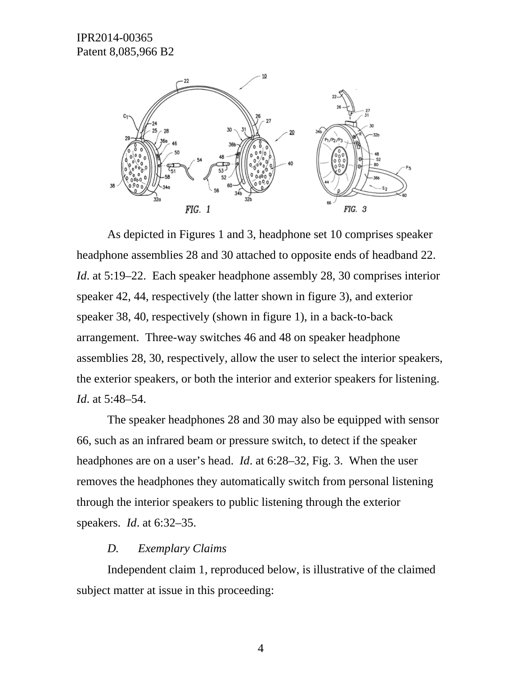

As depicted in Figures 1 and 3, headphone set 10 comprises speaker headphone assemblies 28 and 30 attached to opposite ends of headband 22. *Id*. at 5:19–22. Each speaker headphone assembly 28, 30 comprises interior speaker 42, 44, respectively (the latter shown in figure 3), and exterior speaker 38, 40, respectively (shown in figure 1), in a back-to-back arrangement. Three-way switches 46 and 48 on speaker headphone assemblies 28, 30, respectively, allow the user to select the interior speakers, the exterior speakers, or both the interior and exterior speakers for listening. *Id*. at 5:48–54.

The speaker headphones 28 and 30 may also be equipped with sensor 66, such as an infrared beam or pressure switch, to detect if the speaker headphones are on a user's head. *Id*. at 6:28–32, Fig. 3. When the user removes the headphones they automatically switch from personal listening through the interior speakers to public listening through the exterior speakers. *Id*. at 6:32–35.

#### *D. Exemplary Claims*

Independent claim 1, reproduced below, is illustrative of the claimed subject matter at issue in this proceeding:

4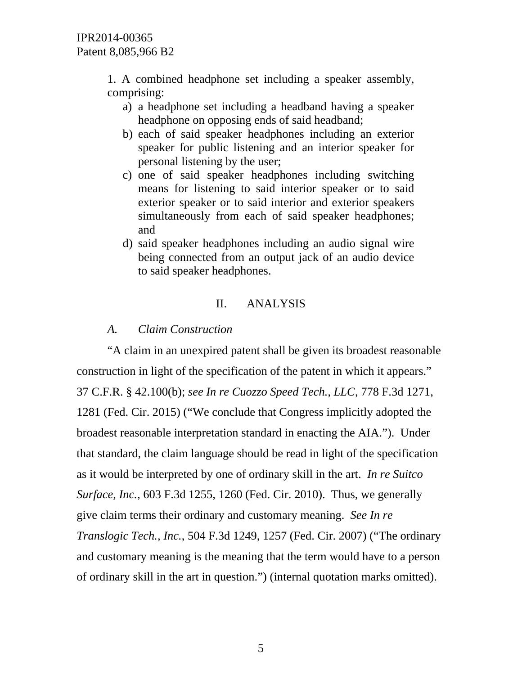1. A combined headphone set including a speaker assembly, comprising:

- a) a headphone set including a headband having a speaker headphone on opposing ends of said headband;
- b) each of said speaker headphones including an exterior speaker for public listening and an interior speaker for personal listening by the user;
- c) one of said speaker headphones including switching means for listening to said interior speaker or to said exterior speaker or to said interior and exterior speakers simultaneously from each of said speaker headphones; and
- d) said speaker headphones including an audio signal wire being connected from an output jack of an audio device to said speaker headphones.

# II. ANALYSIS

## *A. Claim Construction*

"A claim in an unexpired patent shall be given its broadest reasonable construction in light of the specification of the patent in which it appears." 37 C.F.R. § 42.100(b); *see In re Cuozzo Speed Tech., LLC*, 778 F.3d 1271, 1281 (Fed. Cir. 2015) ("We conclude that Congress implicitly adopted the broadest reasonable interpretation standard in enacting the AIA."). Under that standard, the claim language should be read in light of the specification as it would be interpreted by one of ordinary skill in the art. *In re Suitco Surface, Inc.*, 603 F.3d 1255, 1260 (Fed. Cir. 2010). Thus, we generally give claim terms their ordinary and customary meaning. *See In re Translogic Tech., Inc.*, 504 F.3d 1249, 1257 (Fed. Cir. 2007) ("The ordinary and customary meaning is the meaning that the term would have to a person of ordinary skill in the art in question.") (internal quotation marks omitted).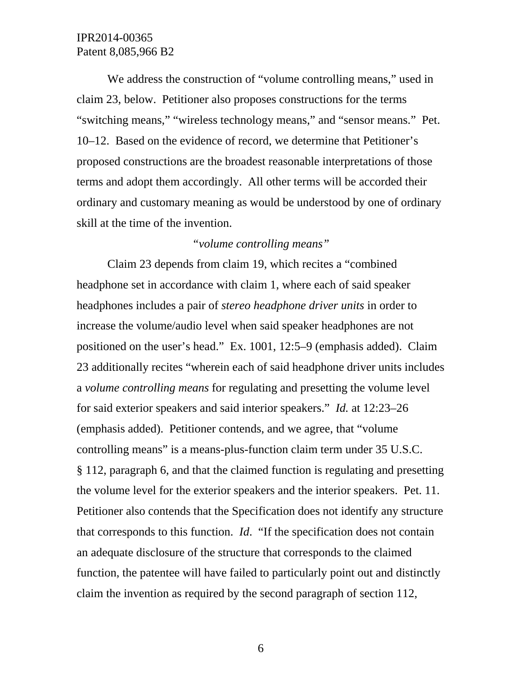We address the construction of "volume controlling means," used in claim 23, below. Petitioner also proposes constructions for the terms "switching means," "wireless technology means," and "sensor means." Pet. 10–12. Based on the evidence of record, we determine that Petitioner's proposed constructions are the broadest reasonable interpretations of those terms and adopt them accordingly. All other terms will be accorded their ordinary and customary meaning as would be understood by one of ordinary skill at the time of the invention.

### *"volume controlling means"*

Claim 23 depends from claim 19, which recites a "combined headphone set in accordance with claim 1, where each of said speaker headphones includes a pair of *stereo headphone driver units* in order to increase the volume/audio level when said speaker headphones are not positioned on the user's head." Ex. 1001, 12:5–9 (emphasis added). Claim 23 additionally recites "wherein each of said headphone driver units includes a *volume controlling means* for regulating and presetting the volume level for said exterior speakers and said interior speakers." *Id.* at 12:23–26 (emphasis added). Petitioner contends, and we agree, that "volume controlling means" is a means-plus-function claim term under 35 U.S.C. § 112, paragraph 6, and that the claimed function is regulating and presetting the volume level for the exterior speakers and the interior speakers. Pet. 11. Petitioner also contends that the Specification does not identify any structure that corresponds to this function. *Id*. "If the specification does not contain an adequate disclosure of the structure that corresponds to the claimed function, the patentee will have failed to particularly point out and distinctly claim the invention as required by the second paragraph of section 112,

6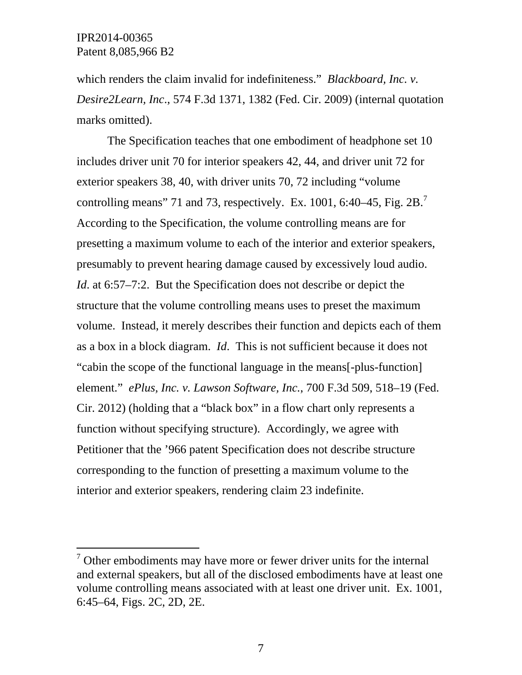$\overline{a}$ 

which renders the claim invalid for indefiniteness." *Blackboard, Inc. v. Desire2Learn, Inc*., 574 F.3d 1371, 1382 (Fed. Cir. 2009) (internal quotation marks omitted).

The Specification teaches that one embodiment of headphone set 10 includes driver unit 70 for interior speakers 42, 44, and driver unit 72 for exterior speakers 38, 40, with driver units 70, 72 including "volume controlling means" 71 and 73, respectively. Ex. 1001, 6:40–45, Fig. 2B.<sup>7</sup> According to the Specification, the volume controlling means are for presetting a maximum volume to each of the interior and exterior speakers, presumably to prevent hearing damage caused by excessively loud audio. *Id.* at 6:57–7:2. But the Specification does not describe or depict the structure that the volume controlling means uses to preset the maximum volume. Instead, it merely describes their function and depicts each of them as a box in a block diagram. *Id*. This is not sufficient because it does not "cabin the scope of the functional language in the means[-plus-function] element." *ePlus, Inc. v. Lawson Software, Inc.*, 700 F.3d 509, 518–19 (Fed. Cir. 2012) (holding that a "black box" in a flow chart only represents a function without specifying structure). Accordingly, we agree with Petitioner that the '966 patent Specification does not describe structure corresponding to the function of presetting a maximum volume to the interior and exterior speakers, rendering claim 23 indefinite.

 $\sigma$ <sup>7</sup> Other embodiments may have more or fewer driver units for the internal and external speakers, but all of the disclosed embodiments have at least one volume controlling means associated with at least one driver unit. Ex. 1001, 6:45–64, Figs. 2C, 2D, 2E.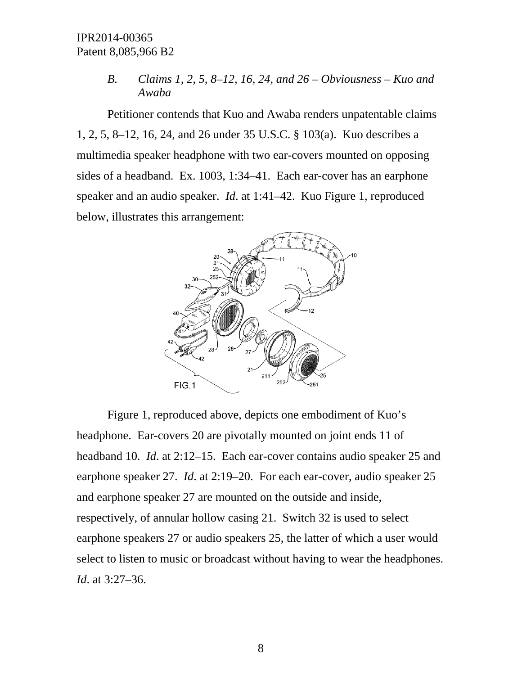*B. Claims 1, 2, 5, 8–12, 16, 24, and 26 – Obviousness – Kuo and Awaba* 

Petitioner contends that Kuo and Awaba renders unpatentable claims 1, 2, 5, 8–12, 16, 24, and 26 under 35 U.S.C. § 103(a). Kuo describes a multimedia speaker headphone with two ear-covers mounted on opposing sides of a headband. Ex. 1003, 1:34–41. Each ear-cover has an earphone speaker and an audio speaker. *Id*. at 1:41–42. Kuo Figure 1, reproduced below, illustrates this arrangement:



Figure 1, reproduced above, depicts one embodiment of Kuo's headphone. Ear-covers 20 are pivotally mounted on joint ends 11 of headband 10. *Id*. at 2:12–15. Each ear-cover contains audio speaker 25 and earphone speaker 27. *Id*. at 2:19–20. For each ear-cover, audio speaker 25 and earphone speaker 27 are mounted on the outside and inside, respectively, of annular hollow casing 21. Switch 32 is used to select earphone speakers 27 or audio speakers 25, the latter of which a user would select to listen to music or broadcast without having to wear the headphones. *Id*. at 3:27–36.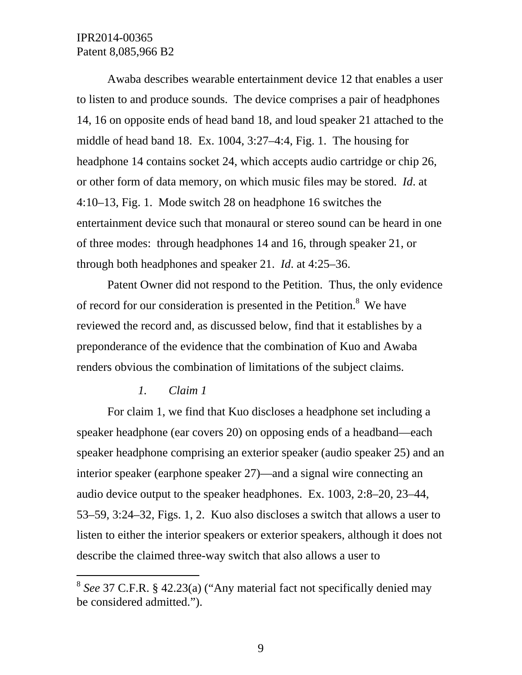Awaba describes wearable entertainment device 12 that enables a user to listen to and produce sounds. The device comprises a pair of headphones 14, 16 on opposite ends of head band 18, and loud speaker 21 attached to the middle of head band 18. Ex. 1004, 3:27–4:4, Fig. 1. The housing for headphone 14 contains socket 24, which accepts audio cartridge or chip 26, or other form of data memory, on which music files may be stored. *Id*. at 4:10–13, Fig. 1. Mode switch 28 on headphone 16 switches the entertainment device such that monaural or stereo sound can be heard in one of three modes: through headphones 14 and 16, through speaker 21, or through both headphones and speaker 21. *Id*. at 4:25–36.

Patent Owner did not respond to the Petition. Thus, the only evidence of record for our consideration is presented in the Petition.<sup>8</sup> We have reviewed the record and, as discussed below, find that it establishes by a preponderance of the evidence that the combination of Kuo and Awaba renders obvious the combination of limitations of the subject claims.

#### *1. Claim 1*

-

For claim 1, we find that Kuo discloses a headphone set including a speaker headphone (ear covers 20) on opposing ends of a headband—each speaker headphone comprising an exterior speaker (audio speaker 25) and an interior speaker (earphone speaker 27)—and a signal wire connecting an audio device output to the speaker headphones. Ex. 1003, 2:8–20, 23–44, 53–59, 3:24–32, Figs. 1, 2. Kuo also discloses a switch that allows a user to listen to either the interior speakers or exterior speakers, although it does not describe the claimed three-way switch that also allows a user to

<sup>8</sup> *See* 37 C.F.R. § 42.23(a) ("Any material fact not specifically denied may be considered admitted.").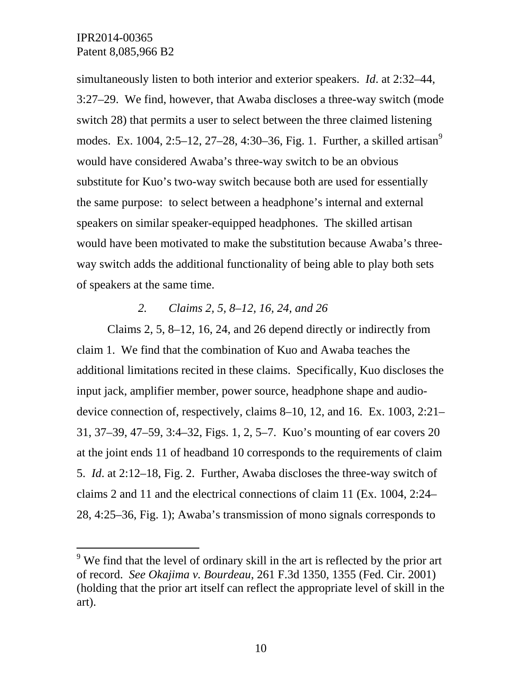-

simultaneously listen to both interior and exterior speakers. *Id*. at 2:32–44, 3:27–29. We find, however, that Awaba discloses a three-way switch (mode switch 28) that permits a user to select between the three claimed listening modes. Ex. 1004, 2:5–12, 27–28, 4:30–36, Fig. 1. Further, a skilled artisan<sup>9</sup> would have considered Awaba's three-way switch to be an obvious substitute for Kuo's two-way switch because both are used for essentially the same purpose: to select between a headphone's internal and external speakers on similar speaker-equipped headphones. The skilled artisan would have been motivated to make the substitution because Awaba's threeway switch adds the additional functionality of being able to play both sets of speakers at the same time.

### *2. Claims 2, 5, 8–12, 16, 24, and 26*

Claims 2, 5, 8–12, 16, 24, and 26 depend directly or indirectly from claim 1. We find that the combination of Kuo and Awaba teaches the additional limitations recited in these claims. Specifically, Kuo discloses the input jack, amplifier member, power source, headphone shape and audiodevice connection of, respectively, claims 8–10, 12, and 16. Ex. 1003, 2:21– 31, 37–39, 47–59, 3:4–32, Figs. 1, 2, 5–7. Kuo's mounting of ear covers 20 at the joint ends 11 of headband 10 corresponds to the requirements of claim 5. *Id*. at 2:12–18, Fig. 2. Further, Awaba discloses the three-way switch of claims 2 and 11 and the electrical connections of claim 11 (Ex. 1004, 2:24– 28, 4:25–36, Fig. 1); Awaba's transmission of mono signals corresponds to

 $9$  We find that the level of ordinary skill in the art is reflected by the prior art of record. *See Okajima v. Bourdeau*, 261 F.3d 1350, 1355 (Fed. Cir. 2001) (holding that the prior art itself can reflect the appropriate level of skill in the art).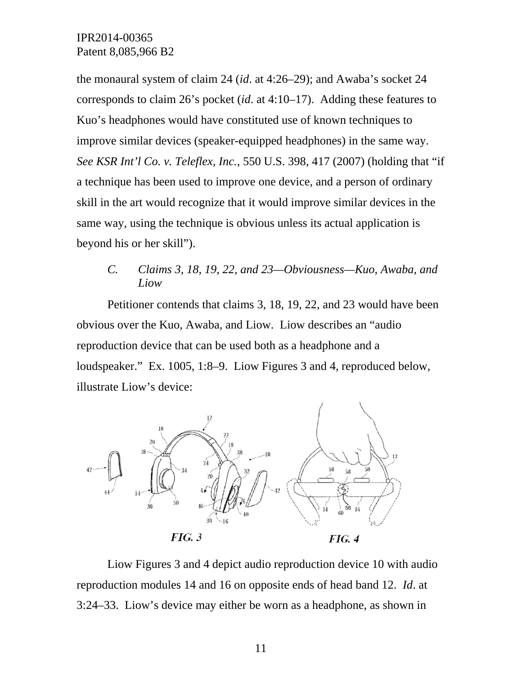the monaural system of claim 24 (*id*. at 4:26–29); and Awaba's socket 24 corresponds to claim 26's pocket (*id*. at 4:10–17). Adding these features to Kuo's headphones would have constituted use of known techniques to improve similar devices (speaker-equipped headphones) in the same way. *See KSR Int'l Co. v. Teleflex, Inc.*, 550 U.S. 398, 417 (2007) (holding that "if a technique has been used to improve one device, and a person of ordinary skill in the art would recognize that it would improve similar devices in the same way, using the technique is obvious unless its actual application is beyond his or her skill").

## *C. Claims 3, 18, 19, 22, and 23—Obviousness—Kuo, Awaba, and Liow*

Petitioner contends that claims 3, 18, 19, 22, and 23 would have been obvious over the Kuo, Awaba, and Liow. Liow describes an "audio reproduction device that can be used both as a headphone and a loudspeaker." Ex. 1005, 1:8–9. Liow Figures 3 and 4, reproduced below, illustrate Liow's device:



Liow Figures 3 and 4 depict audio reproduction device 10 with audio reproduction modules 14 and 16 on opposite ends of head band 12. *Id*. at 3:24–33. Liow's device may either be worn as a headphone, as shown in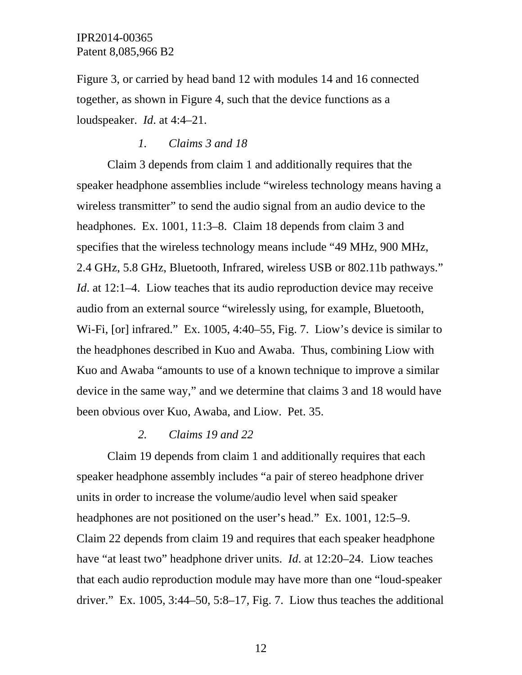Figure 3, or carried by head band 12 with modules 14 and 16 connected together, as shown in Figure 4, such that the device functions as a loudspeaker. *Id*. at 4:4–21.

### *1. Claims 3 and 18*

Claim 3 depends from claim 1 and additionally requires that the speaker headphone assemblies include "wireless technology means having a wireless transmitter" to send the audio signal from an audio device to the headphones. Ex. 1001, 11:3–8. Claim 18 depends from claim 3 and specifies that the wireless technology means include "49 MHz, 900 MHz, 2.4 GHz, 5.8 GHz, Bluetooth, Infrared, wireless USB or 802.11b pathways." *Id.* at 12:1–4. Liow teaches that its audio reproduction device may receive audio from an external source "wirelessly using, for example, Bluetooth, Wi-Fi, [or] infrared." Ex. 1005, 4:40–55, Fig. 7. Liow's device is similar to the headphones described in Kuo and Awaba. Thus, combining Liow with Kuo and Awaba "amounts to use of a known technique to improve a similar device in the same way," and we determine that claims 3 and 18 would have been obvious over Kuo, Awaba, and Liow. Pet. 35.

#### *2. Claims 19 and 22*

Claim 19 depends from claim 1 and additionally requires that each speaker headphone assembly includes "a pair of stereo headphone driver units in order to increase the volume/audio level when said speaker headphones are not positioned on the user's head." Ex. 1001, 12:5–9. Claim 22 depends from claim 19 and requires that each speaker headphone have "at least two" headphone driver units. *Id*. at 12:20–24. Liow teaches that each audio reproduction module may have more than one "loud-speaker driver." Ex. 1005,  $3:44-50$ ,  $5:8-17$ , Fig. 7. Liow thus teaches the additional

12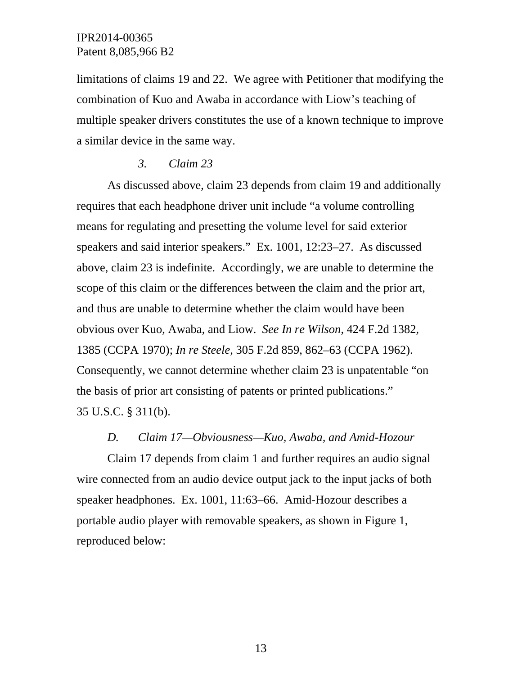limitations of claims 19 and 22. We agree with Petitioner that modifying the combination of Kuo and Awaba in accordance with Liow's teaching of multiple speaker drivers constitutes the use of a known technique to improve a similar device in the same way.

#### *3. Claim 23*

As discussed above, claim 23 depends from claim 19 and additionally requires that each headphone driver unit include "a volume controlling means for regulating and presetting the volume level for said exterior speakers and said interior speakers." Ex. 1001, 12:23–27. As discussed above, claim 23 is indefinite. Accordingly, we are unable to determine the scope of this claim or the differences between the claim and the prior art, and thus are unable to determine whether the claim would have been obvious over Kuo, Awaba, and Liow. *See In re Wilson*, 424 F.2d 1382, 1385 (CCPA 1970); *In re Steele*, 305 F.2d 859, 862–63 (CCPA 1962). Consequently, we cannot determine whether claim 23 is unpatentable "on the basis of prior art consisting of patents or printed publications." 35 U.S.C. § 311(b).

### *D. Claim 17—Obviousness—Kuo, Awaba, and Amid-Hozour*

Claim 17 depends from claim 1 and further requires an audio signal wire connected from an audio device output jack to the input jacks of both speaker headphones. Ex. 1001, 11:63–66. Amid-Hozour describes a portable audio player with removable speakers, as shown in Figure 1, reproduced below: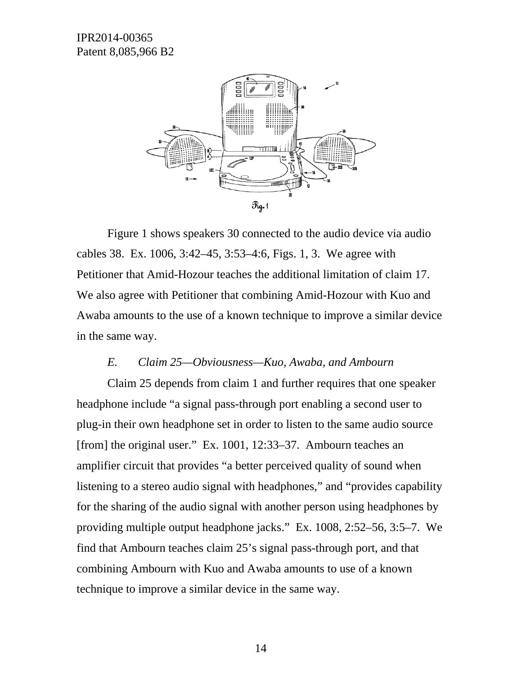

Figure 1 shows speakers 30 connected to the audio device via audio cables 38. Ex. 1006, 3:42–45, 3:53–4:6, Figs. 1, 3. We agree with Petitioner that Amid-Hozour teaches the additional limitation of claim 17. We also agree with Petitioner that combining Amid-Hozour with Kuo and Awaba amounts to the use of a known technique to improve a similar device in the same way.

#### *E. Claim 25—Obviousness—Kuo, Awaba, and Ambourn*

Claim 25 depends from claim 1 and further requires that one speaker headphone include "a signal pass-through port enabling a second user to plug-in their own headphone set in order to listen to the same audio source [from] the original user." Ex. 1001, 12:33–37. Ambourn teaches an amplifier circuit that provides "a better perceived quality of sound when listening to a stereo audio signal with headphones," and "provides capability for the sharing of the audio signal with another person using headphones by providing multiple output headphone jacks." Ex. 1008, 2:52–56, 3:5–7. We find that Ambourn teaches claim 25's signal pass-through port, and that combining Ambourn with Kuo and Awaba amounts to use of a known technique to improve a similar device in the same way.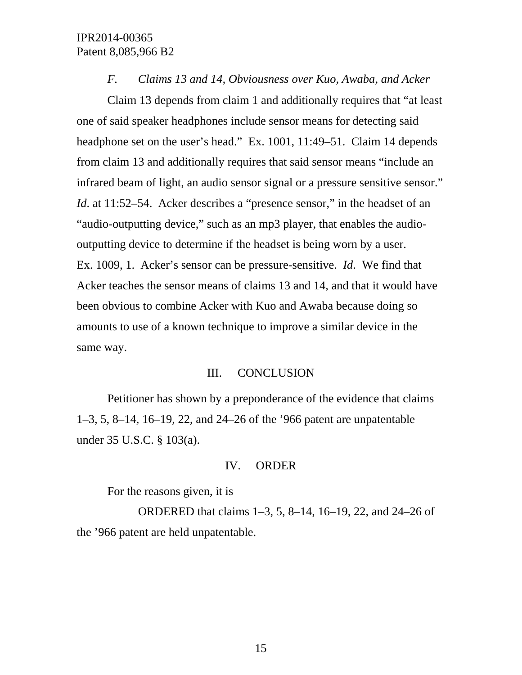#### *F. Claims 13 and 14, Obviousness over Kuo, Awaba, and Acker*

Claim 13 depends from claim 1 and additionally requires that "at least one of said speaker headphones include sensor means for detecting said headphone set on the user's head." Ex. 1001, 11:49–51. Claim 14 depends from claim 13 and additionally requires that said sensor means "include an infrared beam of light, an audio sensor signal or a pressure sensitive sensor." *Id.* at 11:52–54. Acker describes a "presence sensor," in the headset of an "audio-outputting device," such as an mp3 player, that enables the audiooutputting device to determine if the headset is being worn by a user. Ex. 1009, 1. Acker's sensor can be pressure-sensitive. *Id*. We find that Acker teaches the sensor means of claims 13 and 14, and that it would have been obvious to combine Acker with Kuo and Awaba because doing so amounts to use of a known technique to improve a similar device in the same way.

#### III. CONCLUSION

Petitioner has shown by a preponderance of the evidence that claims 1–3, 5, 8–14, 16–19, 22, and 24–26 of the '966 patent are unpatentable under 35 U.S.C. § 103(a).

#### IV. ORDER

For the reasons given, it is

 ORDERED that claims 1–3, 5, 8–14, 16–19, 22, and 24–26 of the '966 patent are held unpatentable.